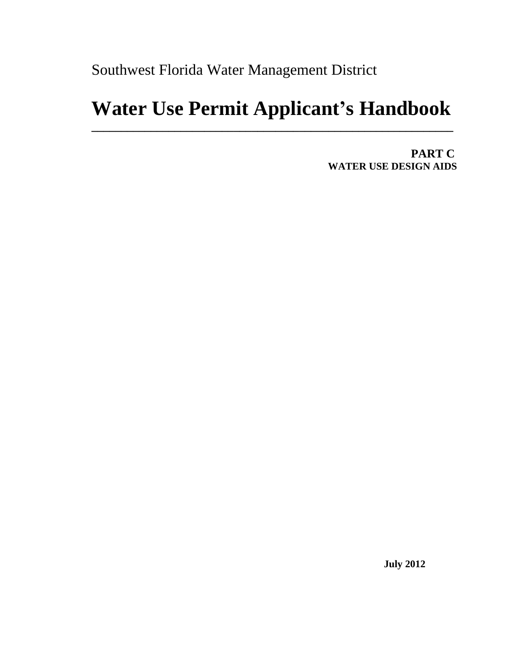Southwest Florida Water Management District

# **Water Use Permit Applicant's Handbook**

**\_\_\_\_\_\_\_\_\_\_\_\_\_\_\_\_\_\_\_\_\_\_\_\_\_\_\_\_\_\_\_\_\_\_\_\_\_\_\_\_\_\_\_\_\_\_\_\_\_\_\_\_\_\_\_\_\_\_\_\_\_**

 **PART C WATER USE DESIGN AIDS**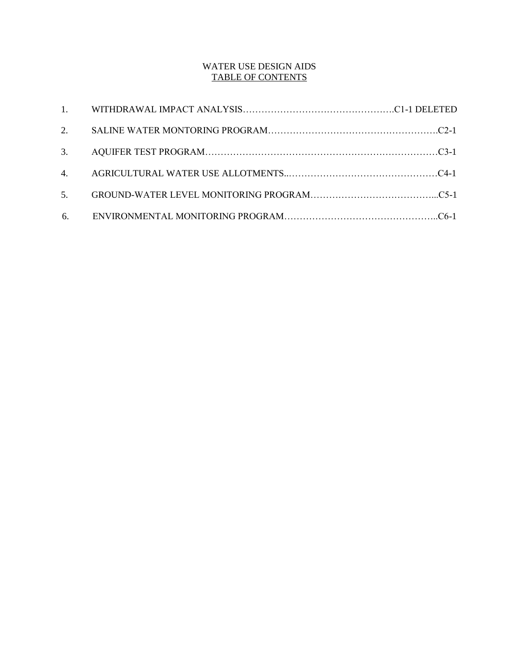# WATER USE DESIGN AIDS TABLE OF CONTENTS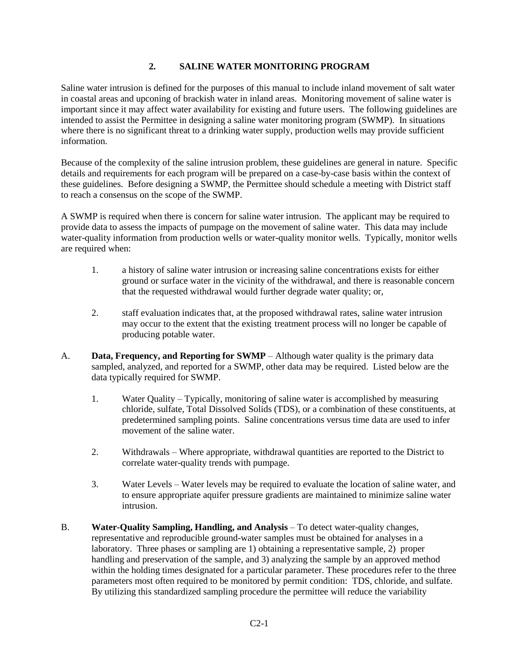# **2. SALINE WATER MONITORING PROGRAM**

Saline water intrusion is defined for the purposes of this manual to include inland movement of salt water in coastal areas and upconing of brackish water in inland areas. Monitoring movement of saline water is important since it may affect water availability for existing and future users. The following guidelines are intended to assist the Permittee in designing a saline water monitoring program (SWMP). In situations where there is no significant threat to a drinking water supply, production wells may provide sufficient information.

Because of the complexity of the saline intrusion problem, these guidelines are general in nature. Specific details and requirements for each program will be prepared on a case-by-case basis within the context of these guidelines. Before designing a SWMP, the Permittee should schedule a meeting with District staff to reach a consensus on the scope of the SWMP.

A SWMP is required when there is concern for saline water intrusion. The applicant may be required to provide data to assess the impacts of pumpage on the movement of saline water. This data may include water-quality information from production wells or water-quality monitor wells. Typically, monitor wells are required when:

- 1. a history of saline water intrusion or increasing saline concentrations exists for either ground or surface water in the vicinity of the withdrawal, and there is reasonable concern that the requested withdrawal would further degrade water quality; or,
- 2. staff evaluation indicates that, at the proposed withdrawal rates, saline water intrusion may occur to the extent that the existing treatment process will no longer be capable of producing potable water.
- A. **Data, Frequency, and Reporting for SWMP** Although water quality is the primary data sampled, analyzed, and reported for a SWMP, other data may be required. Listed below are the data typically required for SWMP.
	- 1. Water Quality Typically, monitoring of saline water is accomplished by measuring chloride, sulfate, Total Dissolved Solids (TDS), or a combination of these constituents, at predetermined sampling points. Saline concentrations versus time data are used to infer movement of the saline water.
	- 2. Withdrawals Where appropriate, withdrawal quantities are reported to the District to correlate water-quality trends with pumpage.
	- 3. Water Levels Water levels may be required to evaluate the location of saline water, and to ensure appropriate aquifer pressure gradients are maintained to minimize saline water intrusion.
- B. **Water-Quality Sampling, Handling, and Analysis** To detect water-quality changes, representative and reproducible ground-water samples must be obtained for analyses in a laboratory. Three phases or sampling are 1) obtaining a representative sample, 2) proper handling and preservation of the sample, and 3) analyzing the sample by an approved method within the holding times designated for a particular parameter. These procedures refer to the three parameters most often required to be monitored by permit condition: TDS, chloride, and sulfate. By utilizing this standardized sampling procedure the permittee will reduce the variability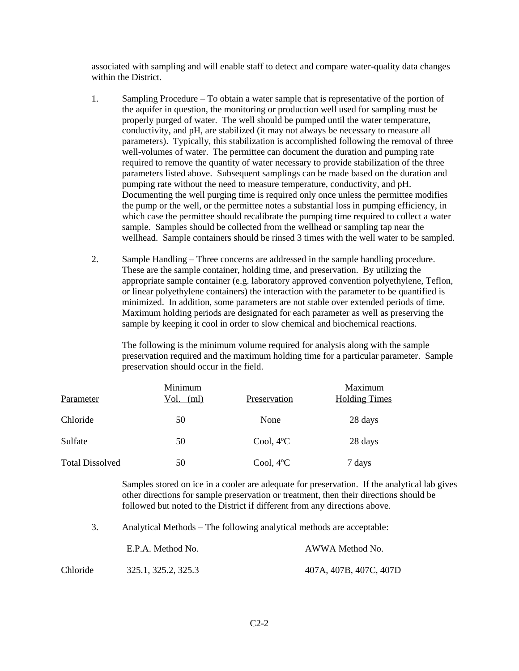associated with sampling and will enable staff to detect and compare water-quality data changes within the District.

- 1. Sampling Procedure To obtain a water sample that is representative of the portion of the aquifer in question, the monitoring or production well used for sampling must be properly purged of water. The well should be pumped until the water temperature, conductivity, and pH, are stabilized (it may not always be necessary to measure all parameters). Typically, this stabilization is accomplished following the removal of three well-volumes of water. The permittee can document the duration and pumping rate required to remove the quantity of water necessary to provide stabilization of the three parameters listed above. Subsequent samplings can be made based on the duration and pumping rate without the need to measure temperature, conductivity, and pH. Documenting the well purging time is required only once unless the permittee modifies the pump or the well, or the permittee notes a substantial loss in pumping efficiency, in which case the permittee should recalibrate the pumping time required to collect a water sample. Samples should be collected from the wellhead or sampling tap near the wellhead. Sample containers should be rinsed 3 times with the well water to be sampled.
- 2. Sample Handling Three concerns are addressed in the sample handling procedure. These are the sample container, holding time, and preservation. By utilizing the appropriate sample container (e.g. laboratory approved convention polyethylene, Teflon, or linear polyethylene containers) the interaction with the parameter to be quantified is minimized. In addition, some parameters are not stable over extended periods of time. Maximum holding periods are designated for each parameter as well as preserving the sample by keeping it cool in order to slow chemical and biochemical reactions.

The following is the minimum volume required for analysis along with the sample preservation required and the maximum holding time for a particular parameter. Sample preservation should occur in the field.

| Parameter              | Minimum<br>Vol.<br>(ml) | Preservation        | Maximum<br><b>Holding Times</b> |
|------------------------|-------------------------|---------------------|---------------------------------|
| Chloride               | 50                      | None                | 28 days                         |
| Sulfate                | 50                      | Cool, $4^{\circ}$ C | 28 days                         |
| <b>Total Dissolved</b> | 50                      | Cool, $4^{\circ}C$  | 7 days                          |

Samples stored on ice in a cooler are adequate for preservation. If the analytical lab gives other directions for sample preservation or treatment, then their directions should be followed but noted to the District if different from any directions above.

3. Analytical Methods – The following analytical methods are acceptable:

|          | E.P.A. Method No.   | AWWA Method No.        |  |  |
|----------|---------------------|------------------------|--|--|
| Chloride | 325.1, 325.2, 325.3 | 407A, 407B, 407C, 407D |  |  |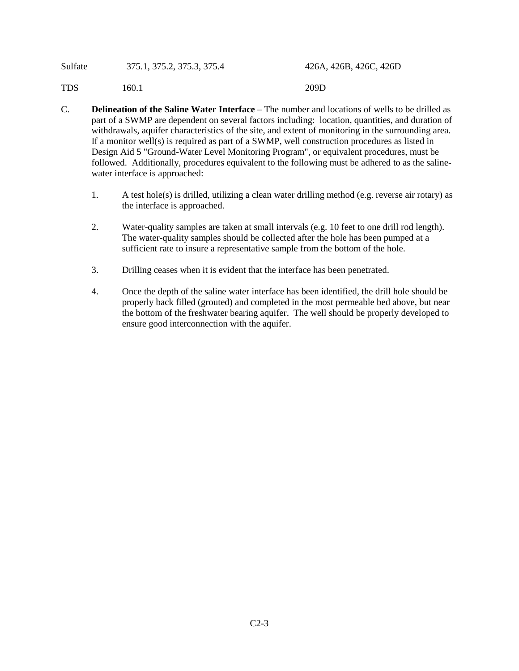| Sulfate | 375.1, 375.2, 375.3, 375.4 | 426A, 426B, 426C, 426D |
|---------|----------------------------|------------------------|
| TDS     | 160.1                      | 209D                   |

- C. **Delineation of the Saline Water Interface** The number and locations of wells to be drilled as part of a SWMP are dependent on several factors including: location, quantities, and duration of withdrawals, aquifer characteristics of the site, and extent of monitoring in the surrounding area. If a monitor well(s) is required as part of a SWMP, well construction procedures as listed in Design Aid 5 "Ground-Water Level Monitoring Program", or equivalent procedures, must be followed. Additionally, procedures equivalent to the following must be adhered to as the salinewater interface is approached:
	- 1. A test hole(s) is drilled, utilizing a clean water drilling method (e.g. reverse air rotary) as the interface is approached.
	- 2. Water-quality samples are taken at small intervals (e.g. 10 feet to one drill rod length). The water-quality samples should be collected after the hole has been pumped at a sufficient rate to insure a representative sample from the bottom of the hole.
	- 3. Drilling ceases when it is evident that the interface has been penetrated.
	- 4. Once the depth of the saline water interface has been identified, the drill hole should be properly back filled (grouted) and completed in the most permeable bed above, but near the bottom of the freshwater bearing aquifer. The well should be properly developed to ensure good interconnection with the aquifer.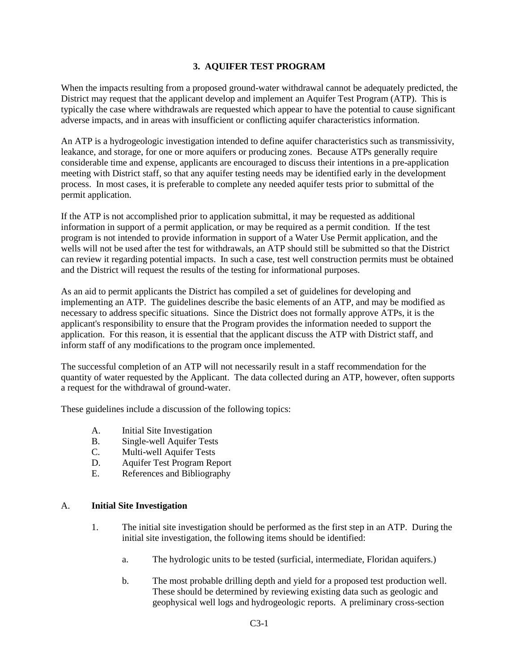# **3. AQUIFER TEST PROGRAM**

When the impacts resulting from a proposed ground-water withdrawal cannot be adequately predicted, the District may request that the applicant develop and implement an Aquifer Test Program (ATP). This is typically the case where withdrawals are requested which appear to have the potential to cause significant adverse impacts, and in areas with insufficient or conflicting aquifer characteristics information.

An ATP is a hydrogeologic investigation intended to define aquifer characteristics such as transmissivity, leakance, and storage, for one or more aquifers or producing zones. Because ATPs generally require considerable time and expense, applicants are encouraged to discuss their intentions in a pre-application meeting with District staff, so that any aquifer testing needs may be identified early in the development process. In most cases, it is preferable to complete any needed aquifer tests prior to submittal of the permit application.

If the ATP is not accomplished prior to application submittal, it may be requested as additional information in support of a permit application, or may be required as a permit condition. If the test program is not intended to provide information in support of a Water Use Permit application, and the wells will not be used after the test for withdrawals, an ATP should still be submitted so that the District can review it regarding potential impacts. In such a case, test well construction permits must be obtained and the District will request the results of the testing for informational purposes.

As an aid to permit applicants the District has compiled a set of guidelines for developing and implementing an ATP. The guidelines describe the basic elements of an ATP, and may be modified as necessary to address specific situations. Since the District does not formally approve ATPs, it is the applicant's responsibility to ensure that the Program provides the information needed to support the application. For this reason, it is essential that the applicant discuss the ATP with District staff, and inform staff of any modifications to the program once implemented.

The successful completion of an ATP will not necessarily result in a staff recommendation for the quantity of water requested by the Applicant. The data collected during an ATP, however, often supports a request for the withdrawal of ground-water.

These guidelines include a discussion of the following topics:

- A. Initial Site Investigation
- B. Single-well Aquifer Tests
- C. Multi-well Aquifer Tests
- D. Aquifer Test Program Report
- E. References and Bibliography

#### A. **Initial Site Investigation**

- 1. The initial site investigation should be performed as the first step in an ATP. During the initial site investigation, the following items should be identified:
	- a. The hydrologic units to be tested (surficial, intermediate, Floridan aquifers.)
	- b. The most probable drilling depth and yield for a proposed test production well. These should be determined by reviewing existing data such as geologic and geophysical well logs and hydrogeologic reports. A preliminary cross-section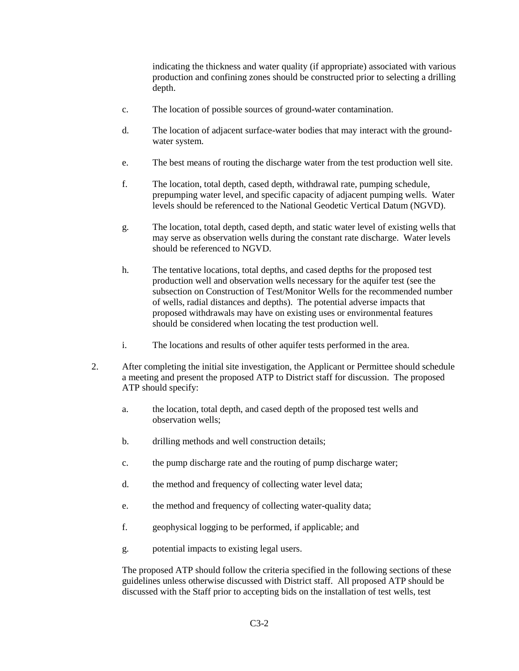indicating the thickness and water quality (if appropriate) associated with various production and confining zones should be constructed prior to selecting a drilling depth.

- c. The location of possible sources of ground-water contamination.
- d. The location of adjacent surface-water bodies that may interact with the groundwater system.
- e. The best means of routing the discharge water from the test production well site.
- f. The location, total depth, cased depth, withdrawal rate, pumping schedule, prepumping water level, and specific capacity of adjacent pumping wells. Water levels should be referenced to the National Geodetic Vertical Datum (NGVD).
- g. The location, total depth, cased depth, and static water level of existing wells that may serve as observation wells during the constant rate discharge. Water levels should be referenced to NGVD.
- h. The tentative locations, total depths, and cased depths for the proposed test production well and observation wells necessary for the aquifer test (see the subsection on Construction of Test/Monitor Wells for the recommended number of wells, radial distances and depths). The potential adverse impacts that proposed withdrawals may have on existing uses or environmental features should be considered when locating the test production well.
- i. The locations and results of other aquifer tests performed in the area.
- 2. After completing the initial site investigation, the Applicant or Permittee should schedule a meeting and present the proposed ATP to District staff for discussion. The proposed ATP should specify:
	- a. the location, total depth, and cased depth of the proposed test wells and observation wells;
	- b. drilling methods and well construction details;
	- c. the pump discharge rate and the routing of pump discharge water;
	- d. the method and frequency of collecting water level data;
	- e. the method and frequency of collecting water-quality data;
	- f. geophysical logging to be performed, if applicable; and
	- g. potential impacts to existing legal users.

The proposed ATP should follow the criteria specified in the following sections of these guidelines unless otherwise discussed with District staff. All proposed ATP should be discussed with the Staff prior to accepting bids on the installation of test wells, test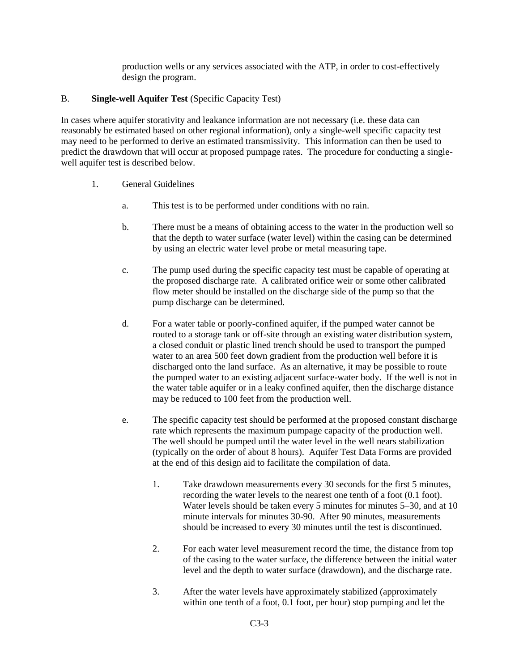production wells or any services associated with the ATP, in order to cost-effectively design the program.

# B. **Single-well Aquifer Test** (Specific Capacity Test)

In cases where aquifer storativity and leakance information are not necessary (i.e. these data can reasonably be estimated based on other regional information), only a single-well specific capacity test may need to be performed to derive an estimated transmissivity. This information can then be used to predict the drawdown that will occur at proposed pumpage rates. The procedure for conducting a singlewell aquifer test is described below.

- 1. General Guidelines
	- a. This test is to be performed under conditions with no rain.
	- b. There must be a means of obtaining access to the water in the production well so that the depth to water surface (water level) within the casing can be determined by using an electric water level probe or metal measuring tape.
	- c. The pump used during the specific capacity test must be capable of operating at the proposed discharge rate. A calibrated orifice weir or some other calibrated flow meter should be installed on the discharge side of the pump so that the pump discharge can be determined.
	- d. For a water table or poorly-confined aquifer, if the pumped water cannot be routed to a storage tank or off-site through an existing water distribution system, a closed conduit or plastic lined trench should be used to transport the pumped water to an area 500 feet down gradient from the production well before it is discharged onto the land surface. As an alternative, it may be possible to route the pumped water to an existing adjacent surface-water body. If the well is not in the water table aquifer or in a leaky confined aquifer, then the discharge distance may be reduced to 100 feet from the production well.
	- e. The specific capacity test should be performed at the proposed constant discharge rate which represents the maximum pumpage capacity of the production well. The well should be pumped until the water level in the well nears stabilization (typically on the order of about 8 hours). Aquifer Test Data Forms are provided at the end of this design aid to facilitate the compilation of data.
		- 1. Take drawdown measurements every 30 seconds for the first 5 minutes, recording the water levels to the nearest one tenth of a foot (0.1 foot). Water levels should be taken every 5 minutes for minutes 5–30, and at 10 minute intervals for minutes 30-90. After 90 minutes, measurements should be increased to every 30 minutes until the test is discontinued.
		- 2. For each water level measurement record the time, the distance from top of the casing to the water surface, the difference between the initial water level and the depth to water surface (drawdown), and the discharge rate.
		- 3. After the water levels have approximately stabilized (approximately within one tenth of a foot, 0.1 foot, per hour) stop pumping and let the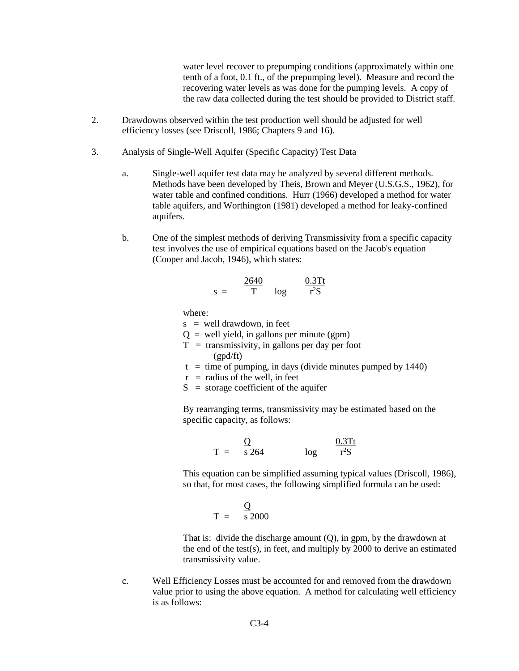water level recover to prepumping conditions (approximately within one tenth of a foot, 0.1 ft., of the prepumping level). Measure and record the recovering water levels as was done for the pumping levels. A copy of the raw data collected during the test should be provided to District staff.

- 2. Drawdowns observed within the test production well should be adjusted for well efficiency losses (see Driscoll, 1986; Chapters 9 and 16).
- 3. Analysis of Single-Well Aquifer (Specific Capacity) Test Data
	- a. Single-well aquifer test data may be analyzed by several different methods. Methods have been developed by Theis, Brown and Meyer (U.S.G.S., 1962), for water table and confined conditions. Hurr (1966) developed a method for water table aquifers, and Worthington (1981) developed a method for leaky-confined aquifers.
	- b. One of the simplest methods of deriving Transmissivity from a specific capacity test involves the use of empirical equations based on the Jacob's equation (Cooper and Jacob, 1946), which states:

$$
s = \frac{2640}{T} \quad \log \quad \frac{0.3Tt}{r^2S}
$$

where:

 $s =$  well drawdown, in feet

- $Q =$  well yield, in gallons per minute (gpm)
- $T =$  transmissivity, in gallons per day per foot (gpd/ft)
- $t =$  time of pumping, in days (divide minutes pumped by 1440)
- $r =$  radius of the well, in feet
- $S =$  storage coefficient of the aquifer

By rearranging terms, transmissivity may be estimated based on the specific capacity, as follows:

> $\overline{Q}$  0.3Tt  $T = s 264$  log  ${}^{2}S$

This equation can be simplified assuming typical values (Driscoll, 1986), so that, for most cases, the following simplified formula can be used:

$$
T = \frac{Q}{s\,2000}
$$

That is: divide the discharge amount (Q), in gpm, by the drawdown at the end of the test(s), in feet, and multiply by 2000 to derive an estimated transmissivity value.

c. Well Efficiency Losses must be accounted for and removed from the drawdown value prior to using the above equation. A method for calculating well efficiency is as follows: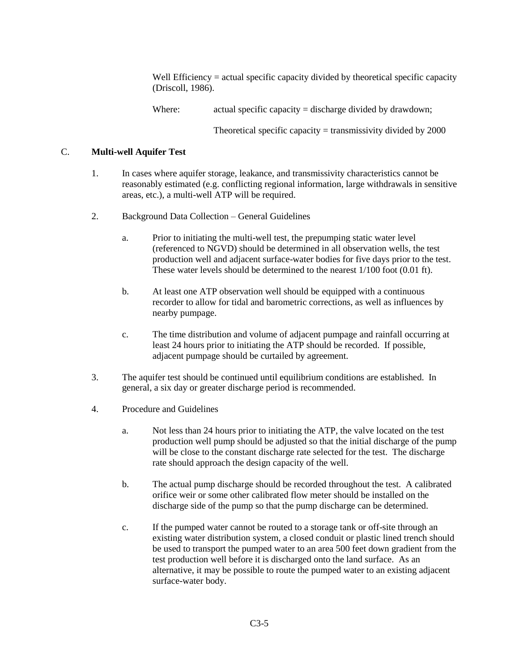Well Efficiency = actual specific capacity divided by theoretical specific capacity (Driscoll, 1986).

Where: actual specific capacity = discharge divided by drawdown;

Theoretical specific capacity  $=$  transmissivity divided by 2000

# C. **Multi-well Aquifer Test**

- 1. In cases where aquifer storage, leakance, and transmissivity characteristics cannot be reasonably estimated (e.g. conflicting regional information, large withdrawals in sensitive areas, etc.), a multi-well ATP will be required.
- 2. Background Data Collection General Guidelines
	- a. Prior to initiating the multi-well test, the prepumping static water level (referenced to NGVD) should be determined in all observation wells, the test production well and adjacent surface-water bodies for five days prior to the test. These water levels should be determined to the nearest 1/100 foot (0.01 ft).
	- b. At least one ATP observation well should be equipped with a continuous recorder to allow for tidal and barometric corrections, as well as influences by nearby pumpage.
	- c. The time distribution and volume of adjacent pumpage and rainfall occurring at least 24 hours prior to initiating the ATP should be recorded. If possible, adjacent pumpage should be curtailed by agreement.
- 3. The aquifer test should be continued until equilibrium conditions are established. In general, a six day or greater discharge period is recommended.
- 4. Procedure and Guidelines
	- a. Not less than 24 hours prior to initiating the ATP, the valve located on the test production well pump should be adjusted so that the initial discharge of the pump will be close to the constant discharge rate selected for the test. The discharge rate should approach the design capacity of the well.
	- b. The actual pump discharge should be recorded throughout the test. A calibrated orifice weir or some other calibrated flow meter should be installed on the discharge side of the pump so that the pump discharge can be determined.
	- c. If the pumped water cannot be routed to a storage tank or off-site through an existing water distribution system, a closed conduit or plastic lined trench should be used to transport the pumped water to an area 500 feet down gradient from the test production well before it is discharged onto the land surface. As an alternative, it may be possible to route the pumped water to an existing adjacent surface-water body.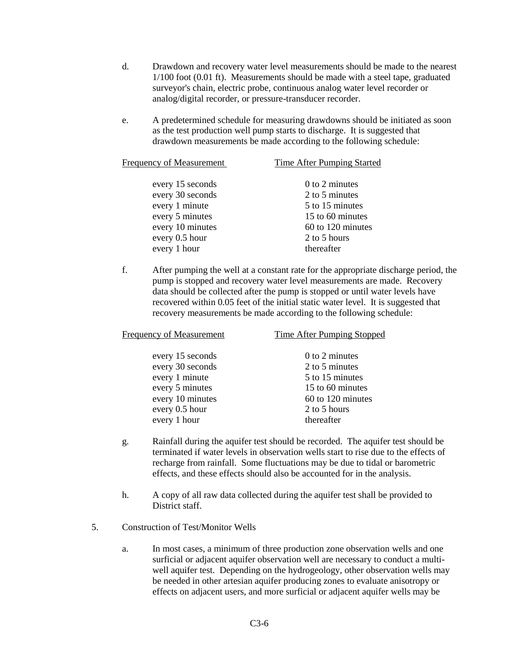- d. Drawdown and recovery water level measurements should be made to the nearest 1/100 foot (0.01 ft). Measurements should be made with a steel tape, graduated surveyor's chain, electric probe, continuous analog water level recorder or analog/digital recorder, or pressure-transducer recorder.
- e. A predetermined schedule for measuring drawdowns should be initiated as soon as the test production well pump starts to discharge. It is suggested that drawdown measurements be made according to the following schedule:

| Frequency of Measurement | Time After Pumping Started |
|--------------------------|----------------------------|
|                          |                            |
| every 15 seconds         | $0$ to 2 minutes           |
| every 30 seconds         | 2 to 5 minutes             |
| every 1 minute           | 5 to 15 minutes            |
| every 5 minutes          | 15 to 60 minutes           |
| every 10 minutes         | 60 to 120 minutes          |
| every 0.5 hour           | 2 to 5 hours               |
| every 1 hour             | thereafter                 |

f. After pumping the well at a constant rate for the appropriate discharge period, the pump is stopped and recovery water level measurements are made. Recovery data should be collected after the pump is stopped or until water levels have recovered within 0.05 feet of the initial static water level. It is suggested that recovery measurements be made according to the following schedule:

| <b>Frequency of Measurement</b> | <b>Time After Pumping Stopped</b> |  |
|---------------------------------|-----------------------------------|--|
| every 15 seconds                | 0 to 2 minutes                    |  |
| every 30 seconds                | 2 to 5 minutes                    |  |
| every 1 minute                  | 5 to 15 minutes                   |  |
| every 5 minutes                 | 15 to 60 minutes                  |  |
| every 10 minutes                | 60 to 120 minutes                 |  |
| every 0.5 hour                  | 2 to 5 hours                      |  |
| every 1 hour                    | thereafter                        |  |
|                                 |                                   |  |

- g. Rainfall during the aquifer test should be recorded. The aquifer test should be terminated if water levels in observation wells start to rise due to the effects of recharge from rainfall. Some fluctuations may be due to tidal or barometric effects, and these effects should also be accounted for in the analysis.
- h. A copy of all raw data collected during the aquifer test shall be provided to District staff.
- 5. Construction of Test/Monitor Wells
	- a. In most cases, a minimum of three production zone observation wells and one surficial or adjacent aquifer observation well are necessary to conduct a multiwell aquifer test. Depending on the hydrogeology, other observation wells may be needed in other artesian aquifer producing zones to evaluate anisotropy or effects on adjacent users, and more surficial or adjacent aquifer wells may be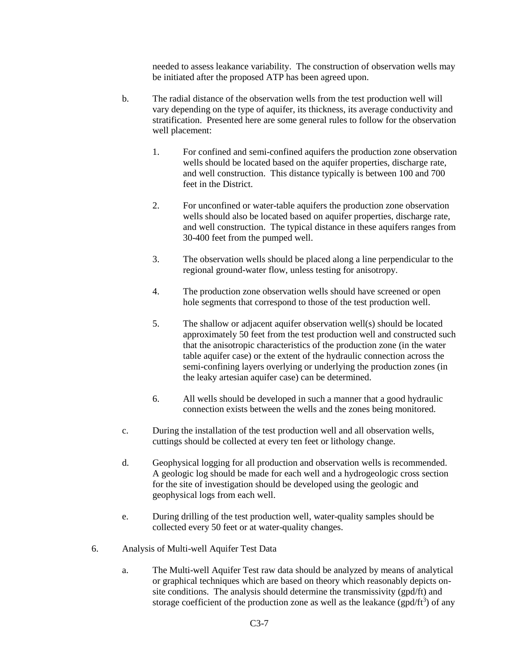needed to assess leakance variability. The construction of observation wells may be initiated after the proposed ATP has been agreed upon.

- b. The radial distance of the observation wells from the test production well will vary depending on the type of aquifer, its thickness, its average conductivity and stratification. Presented here are some general rules to follow for the observation well placement:
	- 1. For confined and semi-confined aquifers the production zone observation wells should be located based on the aquifer properties, discharge rate, and well construction. This distance typically is between 100 and 700 feet in the District.
	- 2. For unconfined or water-table aquifers the production zone observation wells should also be located based on aquifer properties, discharge rate, and well construction. The typical distance in these aquifers ranges from 30-400 feet from the pumped well.
	- 3. The observation wells should be placed along a line perpendicular to the regional ground-water flow, unless testing for anisotropy.
	- 4. The production zone observation wells should have screened or open hole segments that correspond to those of the test production well.
	- 5. The shallow or adjacent aquifer observation well(s) should be located approximately 50 feet from the test production well and constructed such that the anisotropic characteristics of the production zone (in the water table aquifer case) or the extent of the hydraulic connection across the semi-confining layers overlying or underlying the production zones (in the leaky artesian aquifer case) can be determined.
	- 6. All wells should be developed in such a manner that a good hydraulic connection exists between the wells and the zones being monitored.
- c. During the installation of the test production well and all observation wells, cuttings should be collected at every ten feet or lithology change.
- d. Geophysical logging for all production and observation wells is recommended. A geologic log should be made for each well and a hydrogeologic cross section for the site of investigation should be developed using the geologic and geophysical logs from each well.
- e. During drilling of the test production well, water-quality samples should be collected every 50 feet or at water-quality changes.
- 6. Analysis of Multi-well Aquifer Test Data
	- a. The Multi-well Aquifer Test raw data should be analyzed by means of analytical or graphical techniques which are based on theory which reasonably depicts onsite conditions. The analysis should determine the transmissivity (gpd/ft) and storage coefficient of the production zone as well as the leakance  $(gpd/ft^3)$  of any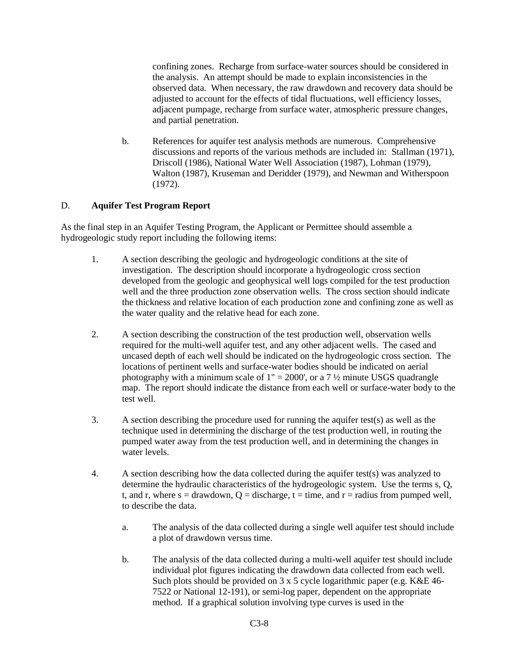confining zones. Recharge from surface-water sources should be considered in the analysis. An attempt should be made to explain inconsistencies in the observed data. When necessary, the raw drawdown and recovery data should be adjusted to account for the effects of tidal fluctuations, well efficiency losses, adjacent pumpage, recharge from surface water, atmospheric pressure changes, and partial penetration.

b. References for aquifer test analysis methods are numerous. Comprehensive discussions and reports of the various methods are included in: Stallman (1971), Driscoll (1986), National Water Well Association (1987), Lohman (1979), Walton (1987), Kruseman and Deridder (1979), and Newman and Witherspoon (1972).

# D. **Aquifer Test Program Report**

As the final step in an Aquifer Testing Program, the Applicant or Permittee should assemble a hydrogeologic study report including the following items:

- 1. A section describing the geologic and hydrogeologic conditions at the site of investigation. The description should incorporate a hydrogeologic cross section developed from the geologic and geophysical well logs compiled for the test production well and the three production zone observation wells. The cross section should indicate the thickness and relative location of each production zone and confining zone as well as the water quality and the relative head for each zone.
- 2. A section describing the construction of the test production well, observation wells required for the multi-well aquifer test, and any other adjacent wells. The cased and uncased depth of each well should be indicated on the hydrogeologic cross section. The locations of pertinent wells and surface-water bodies should be indicated on aerial photography with a minimum scale of  $1" = 2000'$ , or a  $7\frac{1}{2}$  minute USGS quadrangle map. The report should indicate the distance from each well or surface-water body to the test well.
- 3. A section describing the procedure used for running the aquifer test(s) as well as the technique used in determining the discharge of the test production well, in routing the pumped water away from the test production well, and in determining the changes in water levels.
- 4. A section describing how the data collected during the aquifer test(s) was analyzed to determine the hydraulic characteristics of the hydrogeologic system. Use the terms s, Q, t, and r, where  $s =$  drawdown,  $Q =$  discharge,  $t =$  time, and  $r =$  radius from pumped well, to describe the data.
	- a. The analysis of the data collected during a single well aquifer test should include a plot of drawdown versus time.
	- b. The analysis of the data collected during a multi-well aquifer test should include individual plot figures indicating the drawdown data collected from each well. Such plots should be provided on 3 x 5 cycle logarithmic paper (e.g. K&E 46- 7522 or National 12-191), or semi-log paper, dependent on the appropriate method. If a graphical solution involving type curves is used in the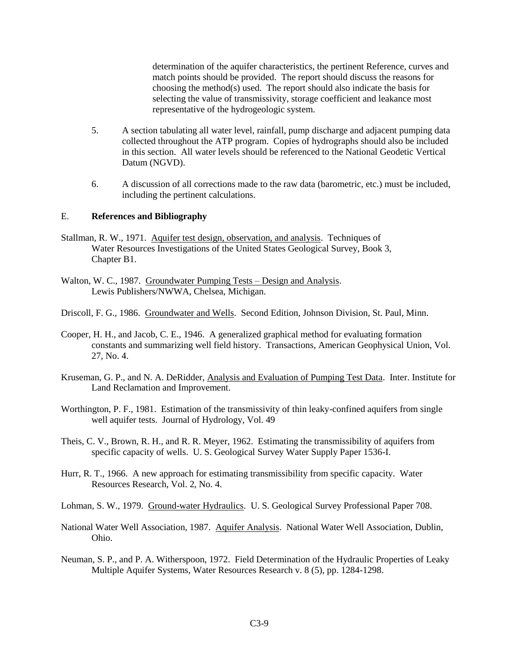determination of the aquifer characteristics, the pertinent Reference, curves and match points should be provided. The report should discuss the reasons for choosing the method(s) used. The report should also indicate the basis for selecting the value of transmissivity, storage coefficient and leakance most representative of the hydrogeologic system.

- 5. A section tabulating all water level, rainfall, pump discharge and adjacent pumping data collected throughout the ATP program. Copies of hydrographs should also be included in this section. All water levels should be referenced to the National Geodetic Vertical Datum (NGVD).
- 6. A discussion of all corrections made to the raw data (barometric, etc.) must be included, including the pertinent calculations.

#### E. **References and Bibliography**

- Stallman, R. W., 1971. Aquifer test design, observation, and analysis. Techniques of Water Resources Investigations of the United States Geological Survey, Book 3, Chapter B1.
- Walton, W. C., 1987. Groundwater Pumping Tests Design and Analysis. Lewis Publishers/NWWA, Chelsea, Michigan.
- Driscoll, F. G., 1986. Groundwater and Wells. Second Edition, Johnson Division, St. Paul, Minn.
- Cooper, H. H., and Jacob, C. E., 1946. A generalized graphical method for evaluating formation constants and summarizing well field history. Transactions, American Geophysical Union, Vol. 27, No. 4.
- Kruseman, G. P., and N. A. DeRidder, Analysis and Evaluation of Pumping Test Data. Inter. Institute for Land Reclamation and Improvement.
- Worthington, P. F., 1981. Estimation of the transmissivity of thin leaky-confined aquifers from single well aquifer tests. Journal of Hydrology, Vol. 49
- Theis, C. V., Brown, R. H., and R. R. Meyer, 1962. Estimating the transmissibility of aquifers from specific capacity of wells. U. S. Geological Survey Water Supply Paper 1536-I.
- Hurr, R. T., 1966. A new approach for estimating transmissibility from specific capacity. Water Resources Research, Vol. 2, No. 4.

Lohman, S. W., 1979. Ground-water Hydraulics. U. S. Geological Survey Professional Paper 708.

- National Water Well Association, 1987. Aquifer Analysis. National Water Well Association, Dublin, Ohio.
- Neuman, S. P., and P. A. Witherspoon, 1972. Field Determination of the Hydraulic Properties of Leaky Multiple Aquifer Systems, Water Resources Research v. 8 (5), pp. 1284-1298.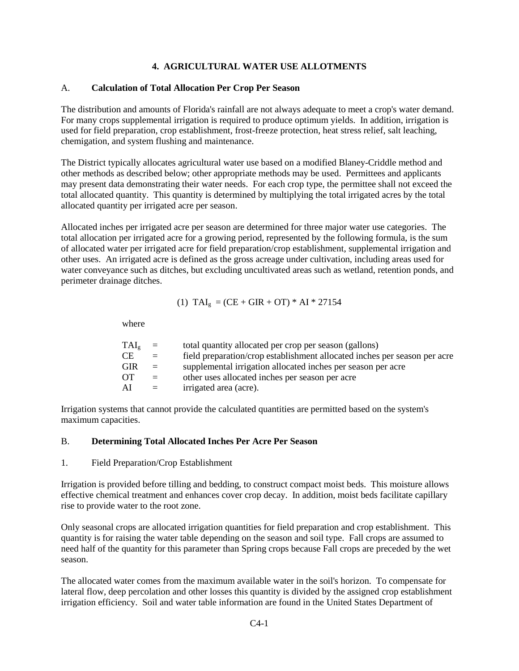## **4. AGRICULTURAL WATER USE ALLOTMENTS**

# A. **Calculation of Total Allocation Per Crop Per Season**

The distribution and amounts of Florida's rainfall are not always adequate to meet a crop's water demand. For many crops supplemental irrigation is required to produce optimum yields. In addition, irrigation is used for field preparation, crop establishment, frost-freeze protection, heat stress relief, salt leaching, chemigation, and system flushing and maintenance.

The District typically allocates agricultural water use based on a modified Blaney-Criddle method and other methods as described below; other appropriate methods may be used. Permittees and applicants may present data demonstrating their water needs. For each crop type, the permittee shall not exceed the total allocated quantity. This quantity is determined by multiplying the total irrigated acres by the total allocated quantity per irrigated acre per season.

Allocated inches per irrigated acre per season are determined for three major water use categories. The total allocation per irrigated acre for a growing period, represented by the following formula, is the sum of allocated water per irrigated acre for field preparation/crop establishment, supplemental irrigation and other uses. An irrigated acre is defined as the gross acreage under cultivation, including areas used for water conveyance such as ditches, but excluding uncultivated areas such as wetland, retention ponds, and perimeter drainage ditches.

(1) 
$$
TAI_g = (CE + GIR + OT) * AI * 27154
$$

where

| $TAI_g$    | $\equiv$ | total quantity allocated per crop per season (gallons)                    |
|------------|----------|---------------------------------------------------------------------------|
| CE.        | $=$      | field preparation/crop establishment allocated inches per season per acre |
| <b>GIR</b> | $\equiv$ | supplemental irrigation allocated inches per season per acre              |
| <b>OT</b>  | $=$      | other uses allocated inches per season per acre                           |
| AI         | $\equiv$ | irrigated area (acre).                                                    |
|            |          |                                                                           |

Irrigation systems that cannot provide the calculated quantities are permitted based on the system's maximum capacities.

#### B. **Determining Total Allocated Inches Per Acre Per Season**

#### 1. Field Preparation/Crop Establishment

Irrigation is provided before tilling and bedding, to construct compact moist beds. This moisture allows effective chemical treatment and enhances cover crop decay. In addition, moist beds facilitate capillary rise to provide water to the root zone.

Only seasonal crops are allocated irrigation quantities for field preparation and crop establishment. This quantity is for raising the water table depending on the season and soil type. Fall crops are assumed to need half of the quantity for this parameter than Spring crops because Fall crops are preceded by the wet season.

The allocated water comes from the maximum available water in the soil's horizon. To compensate for lateral flow, deep percolation and other losses this quantity is divided by the assigned crop establishment irrigation efficiency. Soil and water table information are found in the United States Department of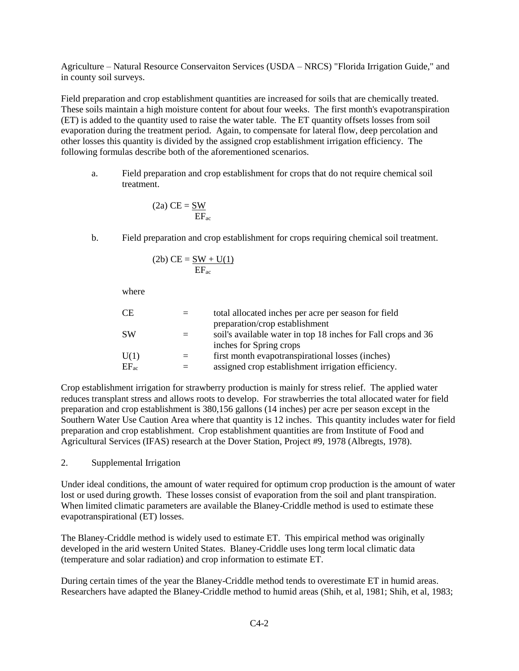Agriculture – Natural Resource Conservaiton Services (USDA – NRCS) "Florida Irrigation Guide," and in county soil surveys.

Field preparation and crop establishment quantities are increased for soils that are chemically treated. These soils maintain a high moisture content for about four weeks. The first month's evapotranspiration (ET) is added to the quantity used to raise the water table. The ET quantity offsets losses from soil evaporation during the treatment period. Again, to compensate for lateral flow, deep percolation and other losses this quantity is divided by the assigned crop establishment irrigation efficiency. The following formulas describe both of the aforementioned scenarios.

a. Field preparation and crop establishment for crops that do not require chemical soil treatment.

$$
(2a) CE = \frac{SW}{EF_{ac}}
$$

b. Field preparation and crop establishment for crops requiring chemical soil treatment.

$$
(2b) CE = \frac{SW + U(1)}{EF_{ac}}
$$

where

| CЕ        |     | total allocated inches per acre per season for field          |
|-----------|-----|---------------------------------------------------------------|
|           |     | preparation/crop establishment                                |
| SW        |     | soil's available water in top 18 inches for Fall crops and 36 |
|           |     | inches for Spring crops                                       |
| U(1)      | $=$ | first month evapotranspirational losses (inches)              |
| $EF_{ac}$ |     | assigned crop establishment irrigation efficiency.            |
|           |     |                                                               |

Crop establishment irrigation for strawberry production is mainly for stress relief. The applied water reduces transplant stress and allows roots to develop. For strawberries the total allocated water for field preparation and crop establishment is 380,156 gallons (14 inches) per acre per season except in the Southern Water Use Caution Area where that quantity is 12 inches. This quantity includes water for field preparation and crop establishment. Crop establishment quantities are from Institute of Food and Agricultural Services (IFAS) research at the Dover Station, Project #9, 1978 (Albregts, 1978).

2. Supplemental Irrigation

Under ideal conditions, the amount of water required for optimum crop production is the amount of water lost or used during growth. These losses consist of evaporation from the soil and plant transpiration. When limited climatic parameters are available the Blaney-Criddle method is used to estimate these evapotranspirational (ET) losses.

The Blaney-Criddle method is widely used to estimate ET. This empirical method was originally developed in the arid western United States. Blaney-Criddle uses long term local climatic data (temperature and solar radiation) and crop information to estimate ET.

During certain times of the year the Blaney-Criddle method tends to overestimate ET in humid areas. Researchers have adapted the Blaney-Criddle method to humid areas (Shih, et al, 1981; Shih, et al, 1983;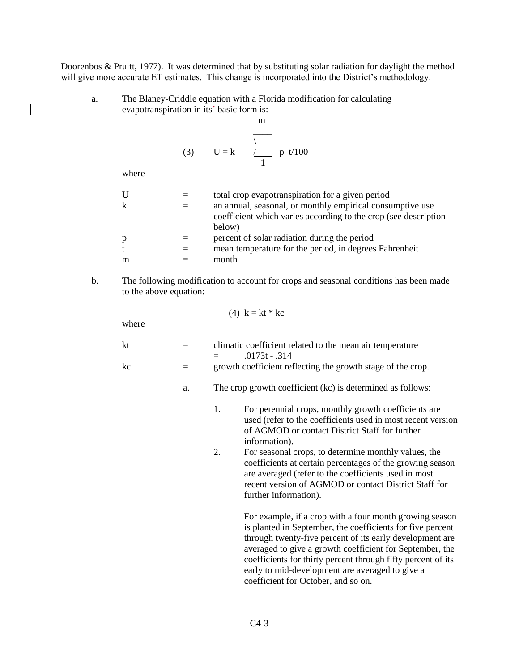Doorenbos & Pruitt, 1977). It was determined that by substituting solar radiation for daylight the method will give more accurate ET estimates. This change is incorporated into the District's methodology.

m

a. The Blaney-Criddle equation with a Florida modification for calculating evapotranspiration in its<sup>2</sup> basic form is:

(3) 
$$
U = k
$$
  $\overline{V}$  p t/100

where

| U | total crop evapotranspiration for a given period                |
|---|-----------------------------------------------------------------|
| k | an annual, seasonal, or monthly empirical consumptive use       |
|   | coefficient which varies according to the crop (see description |
|   | below)                                                          |
| p | percent of solar radiation during the period                    |
| t | mean temperature for the period, in degrees Fahrenheit          |
| m | month                                                           |
|   |                                                                 |

b. The following modification to account for crops and seasonal conditions has been made to the above equation:

$$
(4) \ \mathbf{k} = \mathbf{k} \mathbf{t} \ast \mathbf{k} \mathbf{c}
$$

where

| kt | $=$ | climatic coefficient related to the mean air temperature    |
|----|-----|-------------------------------------------------------------|
|    |     | $.0173t - .314$<br>$\equiv$ $\equiv$                        |
| kc | $=$ | growth coefficient reflecting the growth stage of the crop. |

- a. The crop growth coefficient (kc) is determined as follows:
	- 1. For perennial crops, monthly growth coefficients are used (refer to the coefficients used in most recent version of AGMOD or contact District Staff for further information).
	- 2. For seasonal crops, to determine monthly values, the coefficients at certain percentages of the growing season are averaged (refer to the coefficients used in most recent version of AGMOD or contact District Staff for further information).

For example, if a crop with a four month growing season is planted in September, the coefficients for five percent through twenty-five percent of its early development are averaged to give a growth coefficient for September, the coefficients for thirty percent through fifty percent of its early to mid-development are averaged to give a coefficient for October, and so on.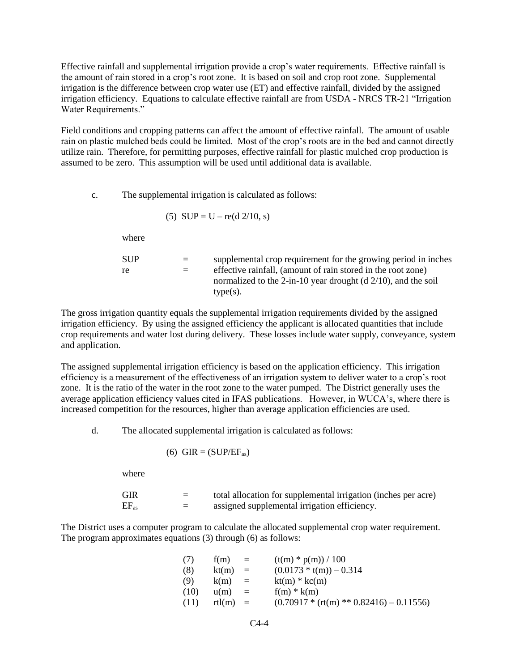Effective rainfall and supplemental irrigation provide a crop's water requirements. Effective rainfall is the amount of rain stored in a crop's root zone. It is based on soil and crop root zone. Supplemental irrigation is the difference between crop water use (ET) and effective rainfall, divided by the assigned irrigation efficiency. Equations to calculate effective rainfall are from USDA - NRCS TR-21 "Irrigation Water Requirements."

Field conditions and cropping patterns can affect the amount of effective rainfall. The amount of usable rain on plastic mulched beds could be limited. Most of the crop's roots are in the bed and cannot directly utilize rain. Therefore, for permitting purposes, effective rainfall for plastic mulched crop production is assumed to be zero. This assumption will be used until additional data is available.

c. The supplemental irrigation is calculated as follows:

(5) 
$$
SUP = U - re(d \ 2/10, s)
$$

where

| SUP | $=$ | supplemental crop requirement for the growing period in inches            |
|-----|-----|---------------------------------------------------------------------------|
| re  | $=$ | effective rainfall, (amount of rain stored in the root zone)              |
|     |     | normalized to the 2-in-10 year drought ( $d \frac{2}{10}$ ), and the soil |
|     |     | $type(s)$ .                                                               |

The gross irrigation quantity equals the supplemental irrigation requirements divided by the assigned irrigation efficiency. By using the assigned efficiency the applicant is allocated quantities that include crop requirements and water lost during delivery. These losses include water supply, conveyance, system and application.

The assigned supplemental irrigation efficiency is based on the application efficiency. This irrigation efficiency is a measurement of the effectiveness of an irrigation system to deliver water to a crop's root zone. It is the ratio of the water in the root zone to the water pumped. The District generally uses the average application efficiency values cited in IFAS publications. However, in WUCA's, where there is increased competition for the resources, higher than average application efficiencies are used.

d. The allocated supplemental irrigation is calculated as follows:

(6) GIR = (SUP/EFas)

where

| GIR       | =                        | total allocation for supplemental irrigation (inches per acre) |
|-----------|--------------------------|----------------------------------------------------------------|
| $EF_{as}$ | $\overline{\phantom{0}}$ | assigned supplemental irrigation efficiency.                   |

The District uses a computer program to calculate the allocated supplemental crop water requirement. The program approximates equations (3) through (6) as follows:

| (7)  | f(m)   | $=$      | $(t(m) * p(m)) / 100$                      |
|------|--------|----------|--------------------------------------------|
| (8)  | kt(m)  | $=$      | $(0.0173 * t(m)) - 0.314$                  |
| (9)  | k(m)   | $=$      | $kt(m) * kc(m)$                            |
| (10) | u(m)   | $=$      | $f(m) * k(m)$                              |
| (11) | rtl(m) | $\equiv$ | $(0.70917 * (rt(m) ** 0.82416) - 0.11556)$ |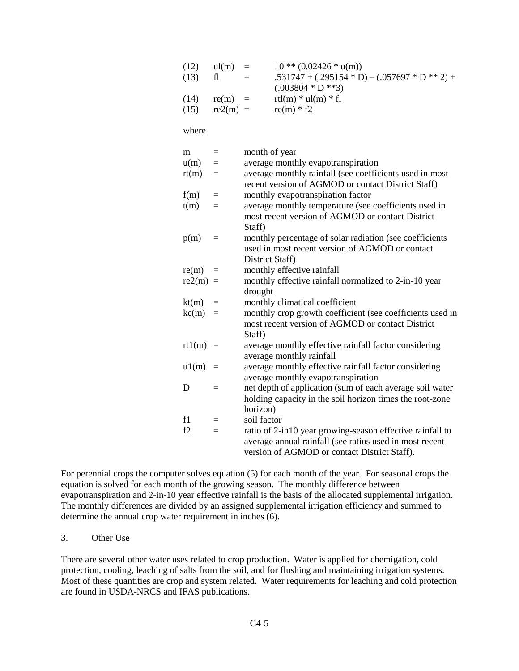| (12)  | ul(m)      | $\equiv$ | $10$ ** $(0.02426$ * $u(m))$                     |
|-------|------------|----------|--------------------------------------------------|
| (13)  | fl         |          | $.531747 + (.295154 * D) - (.057697 * D ** 2) +$ |
|       |            |          | $(.003804 * D **3)$                              |
| (14)  | $re(m) =$  |          | rtl(m) $*$ ul(m) $*$ fl                          |
| (15)  | $re2(m) =$ |          | $re(m) * f2$                                     |
|       |            |          |                                                  |
| where |            |          |                                                  |

| m                | $=$      | month of year                                                                                                 |
|------------------|----------|---------------------------------------------------------------------------------------------------------------|
| u(m)             | $=$      | average monthly evapotranspiration                                                                            |
| rt(m)            | $=$      | average monthly rainfall (see coefficients used in most<br>recent version of AGMOD or contact District Staff) |
|                  |          |                                                                                                               |
| f(m)             | $\equiv$ | monthly evapotranspiration factor                                                                             |
| t(m)             | $=$      | average monthly temperature (see coefficients used in<br>most recent version of AGMOD or contact District     |
|                  |          | Staff)                                                                                                        |
| p(m)             | $\equiv$ | monthly percentage of solar radiation (see coefficients                                                       |
|                  |          | used in most recent version of AGMOD or contact                                                               |
|                  |          | District Staff)                                                                                               |
| re(m)            | $=$      | monthly effective rainfall                                                                                    |
| $re2(m) =$       |          | monthly effective rainfall normalized to 2-in-10 year                                                         |
|                  |          | drought                                                                                                       |
| kt(m)            | $\equiv$ | monthly climatical coefficient                                                                                |
| $k\text{c(m)}$ = |          | monthly crop growth coefficient (see coefficients used in                                                     |
|                  |          | most recent version of AGMOD or contact District                                                              |
|                  |          | Staff)                                                                                                        |
| $rt1(m) =$       |          | average monthly effective rainfall factor considering                                                         |
|                  |          | average monthly rainfall                                                                                      |
| $u1(m)$ =        |          | average monthly effective rainfall factor considering                                                         |
|                  |          | average monthly evapotranspiration                                                                            |
| D                | $=$      | net depth of application (sum of each average soil water                                                      |
|                  |          | holding capacity in the soil horizon times the root-zone                                                      |
|                  |          | horizon)                                                                                                      |
| f1               | $=$      | soil factor                                                                                                   |
| f2               | $=$      | ratio of 2-in10 year growing-season effective rainfall to                                                     |
|                  |          | average annual rainfall (see ratios used in most recent                                                       |
|                  |          | version of AGMOD or contact District Staff).                                                                  |

For perennial crops the computer solves equation (5) for each month of the year. For seasonal crops the equation is solved for each month of the growing season. The monthly difference between evapotranspiration and 2-in-10 year effective rainfall is the basis of the allocated supplemental irrigation. The monthly differences are divided by an assigned supplemental irrigation efficiency and summed to determine the annual crop water requirement in inches (6).

#### 3. Other Use

There are several other water uses related to crop production. Water is applied for chemigation, cold protection, cooling, leaching of salts from the soil, and for flushing and maintaining irrigation systems. Most of these quantities are crop and system related. Water requirements for leaching and cold protection are found in USDA-NRCS and IFAS publications.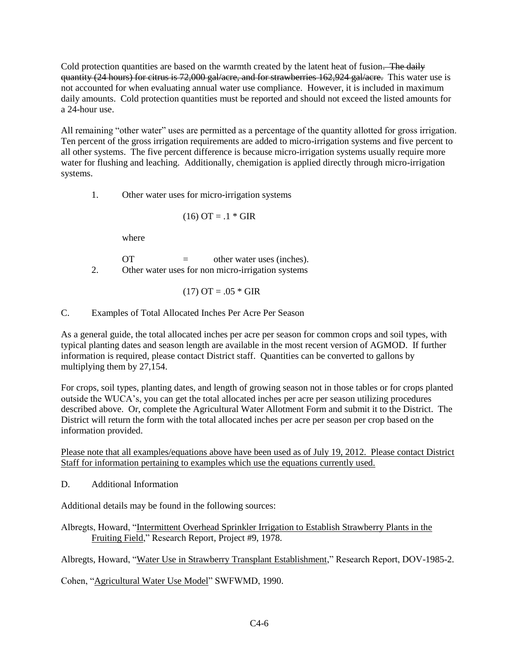Cold protection quantities are based on the warmth created by the latent heat of fusion. The daily quantity (24 hours) for citrus is 72,000 gal/acre, and for strawberries 162,924 gal/acre. This water use is not accounted for when evaluating annual water use compliance. However, it is included in maximum daily amounts. Cold protection quantities must be reported and should not exceed the listed amounts for a 24-hour use.

All remaining "other water" uses are permitted as a percentage of the quantity allotted for gross irrigation. Ten percent of the gross irrigation requirements are added to micro-irrigation systems and five percent to all other systems. The five percent difference is because micro-irrigation systems usually require more water for flushing and leaching. Additionally, chemigation is applied directly through micro-irrigation systems.

1. Other water uses for micro-irrigation systems

$$
(16) \text{ OT} = .1 * \text{GIR}
$$

where

 $OT =$  other water uses (inches). 2. Other water uses for non micro-irrigation systems

$$
(17)
$$
  $OT = .05 * GIR$ 

C. Examples of Total Allocated Inches Per Acre Per Season

As a general guide, the total allocated inches per acre per season for common crops and soil types, with typical planting dates and season length are available in the most recent version of AGMOD. If further information is required, please contact District staff. Quantities can be converted to gallons by multiplying them by 27,154.

For crops, soil types, planting dates, and length of growing season not in those tables or for crops planted outside the WUCA's, you can get the total allocated inches per acre per season utilizing procedures described above. Or, complete the Agricultural Water Allotment Form and submit it to the District. The District will return the form with the total allocated inches per acre per season per crop based on the information provided.

Please note that all examples/equations above have been used as of July 19, 2012. Please contact District Staff for information pertaining to examples which use the equations currently used.

D. Additional Information

Additional details may be found in the following sources:

Albregts, Howard, "Intermittent Overhead Sprinkler Irrigation to Establish Strawberry Plants in the Fruiting Field," Research Report, Project #9, 1978.

Albregts, Howard, "Water Use in Strawberry Transplant Establishment," Research Report, DOV-1985-2.

Cohen, "Agricultural Water Use Model" SWFWMD, 1990.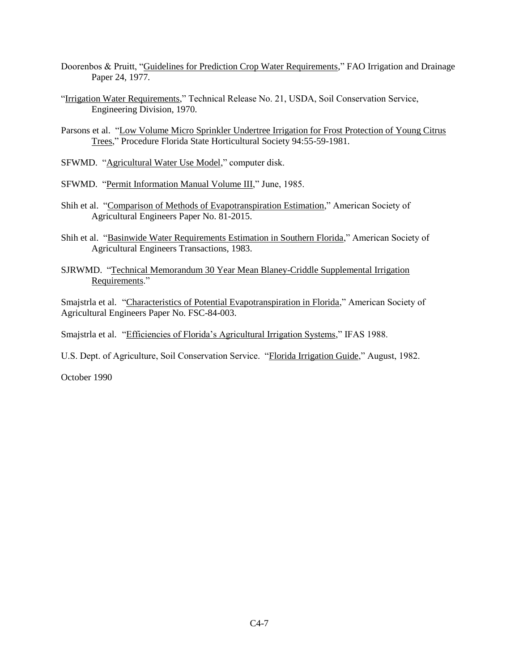- Doorenbos & Pruitt, "Guidelines for Prediction Crop Water Requirements," FAO Irrigation and Drainage Paper 24, 1977.
- "Irrigation Water Requirements," Technical Release No. 21, USDA, Soil Conservation Service, Engineering Division, 1970.
- Parsons et al. "Low Volume Micro Sprinkler Undertree Irrigation for Frost Protection of Young Citrus Trees," Procedure Florida State Horticultural Society 94:55-59-1981.
- SFWMD. "Agricultural Water Use Model," computer disk.
- SFWMD. "Permit Information Manual Volume III," June, 1985.
- Shih et al. "Comparison of Methods of Evapotranspiration Estimation," American Society of Agricultural Engineers Paper No. 81-2015.
- Shih et al. "Basinwide Water Requirements Estimation in Southern Florida," American Society of Agricultural Engineers Transactions, 1983.
- SJRWMD. "Technical Memorandum 30 Year Mean Blaney-Criddle Supplemental Irrigation Requirements."

Smajstrla et al. "Characteristics of Potential Evapotranspiration in Florida," American Society of Agricultural Engineers Paper No. FSC-84-003.

Smajstrla et al. "Efficiencies of Florida's Agricultural Irrigation Systems," IFAS 1988.

U.S. Dept. of Agriculture, Soil Conservation Service. "Florida Irrigation Guide," August, 1982.

October 1990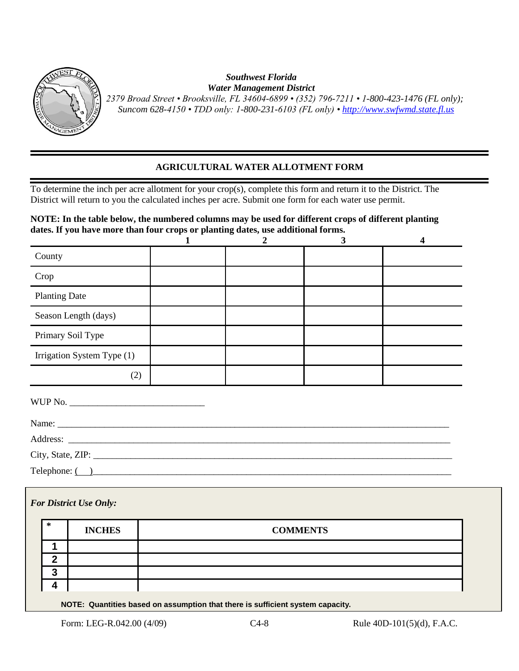

#### *Southwest Florida Water Management District*

 *2379 Broad Street • Brooksville, FL 34604-6899 • (352) 796-7211 • 1-800-423-1476 (FL only); Suncom 628-4150 • TDD only: 1-800-231-6103 (FL only) [• http://www.swfwmd.state.fl.us](http://www.swfwmd.state.fl.us/)*

# **AGRICULTURAL WATER ALLOTMENT FORM**

To determine the inch per acre allotment for your crop(s), complete this form and return it to the District. The District will return to you the calculated inches per acre. Submit one form for each water use permit.

# **NOTE: In the table below, the numbered columns may be used for different crops of different planting dates. If you have more than four crops or planting dates, use additional forms.**

| County                     |  |  |
|----------------------------|--|--|
| Crop                       |  |  |
| <b>Planting Date</b>       |  |  |
| Season Length (days)       |  |  |
| Primary Soil Type          |  |  |
| Irrigation System Type (1) |  |  |
| (2)                        |  |  |

| WUP No.                                      |  |  |
|----------------------------------------------|--|--|
|                                              |  |  |
|                                              |  |  |
|                                              |  |  |
| $\text{Telephone: } \textcircled{\textcirc}$ |  |  |

| <b>For District Use Only:</b>                                                   |             |               |                 |  |  |  |  |
|---------------------------------------------------------------------------------|-------------|---------------|-----------------|--|--|--|--|
|                                                                                 | $\ast$      | <b>INCHES</b> | <b>COMMENTS</b> |  |  |  |  |
|                                                                                 |             |               |                 |  |  |  |  |
|                                                                                 | $\mathbf 2$ |               |                 |  |  |  |  |
|                                                                                 | 3           |               |                 |  |  |  |  |
|                                                                                 | 4           |               |                 |  |  |  |  |
| MOTE. Our afflice have done commetted that them to cofficient contain conceitor |             |               |                 |  |  |  |  |

**NOTE: Quantities based on assumption that there is sufficient system capacity.**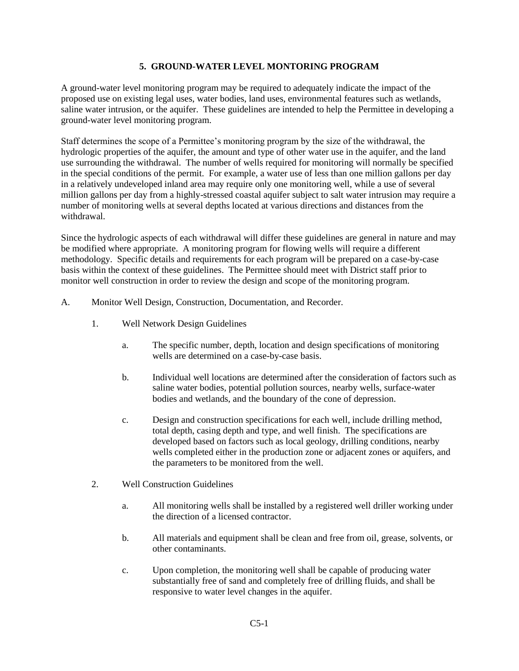#### **5. GROUND-WATER LEVEL MONTORING PROGRAM**

A ground-water level monitoring program may be required to adequately indicate the impact of the proposed use on existing legal uses, water bodies, land uses, environmental features such as wetlands, saline water intrusion, or the aquifer. These guidelines are intended to help the Permittee in developing a ground-water level monitoring program.

Staff determines the scope of a Permittee's monitoring program by the size of the withdrawal, the hydrologic properties of the aquifer, the amount and type of other water use in the aquifer, and the land use surrounding the withdrawal. The number of wells required for monitoring will normally be specified in the special conditions of the permit. For example, a water use of less than one million gallons per day in a relatively undeveloped inland area may require only one monitoring well, while a use of several million gallons per day from a highly-stressed coastal aquifer subject to salt water intrusion may require a number of monitoring wells at several depths located at various directions and distances from the withdrawal.

Since the hydrologic aspects of each withdrawal will differ these guidelines are general in nature and may be modified where appropriate. A monitoring program for flowing wells will require a different methodology. Specific details and requirements for each program will be prepared on a case-by-case basis within the context of these guidelines. The Permittee should meet with District staff prior to monitor well construction in order to review the design and scope of the monitoring program.

- A. Monitor Well Design, Construction, Documentation, and Recorder.
	- 1. Well Network Design Guidelines
		- a. The specific number, depth, location and design specifications of monitoring wells are determined on a case-by-case basis.
		- b. Individual well locations are determined after the consideration of factors such as saline water bodies, potential pollution sources, nearby wells, surface-water bodies and wetlands, and the boundary of the cone of depression.
		- c. Design and construction specifications for each well, include drilling method, total depth, casing depth and type, and well finish. The specifications are developed based on factors such as local geology, drilling conditions, nearby wells completed either in the production zone or adjacent zones or aquifers, and the parameters to be monitored from the well.
	- 2. Well Construction Guidelines
		- a. All monitoring wells shall be installed by a registered well driller working under the direction of a licensed contractor.
		- b. All materials and equipment shall be clean and free from oil, grease, solvents, or other contaminants.
		- c. Upon completion, the monitoring well shall be capable of producing water substantially free of sand and completely free of drilling fluids, and shall be responsive to water level changes in the aquifer.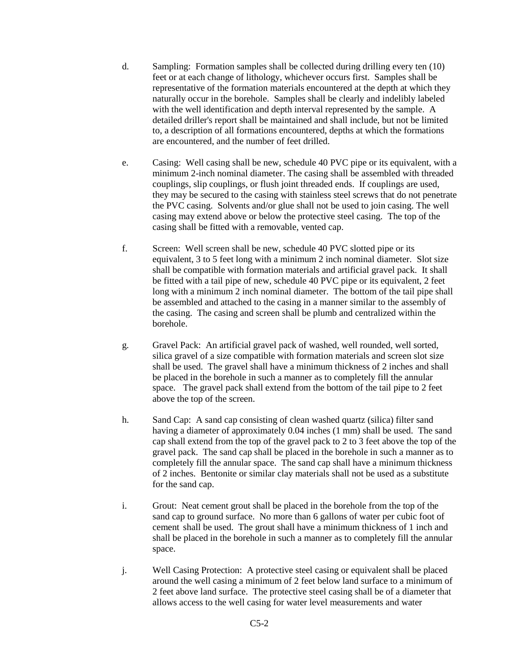- d. Sampling: Formation samples shall be collected during drilling every ten (10) feet or at each change of lithology, whichever occurs first. Samples shall be representative of the formation materials encountered at the depth at which they naturally occur in the borehole. Samples shall be clearly and indelibly labeled with the well identification and depth interval represented by the sample. A detailed driller's report shall be maintained and shall include, but not be limited to, a description of all formations encountered, depths at which the formations are encountered, and the number of feet drilled.
- e. Casing: Well casing shall be new, schedule 40 PVC pipe or its equivalent, with a minimum 2-inch nominal diameter. The casing shall be assembled with threaded couplings, slip couplings, or flush joint threaded ends. If couplings are used, they may be secured to the casing with stainless steel screws that do not penetrate the PVC casing. Solvents and/or glue shall not be used to join casing. The well casing may extend above or below the protective steel casing. The top of the casing shall be fitted with a removable, vented cap.
- f. Screen: Well screen shall be new, schedule 40 PVC slotted pipe or its equivalent, 3 to 5 feet long with a minimum 2 inch nominal diameter. Slot size shall be compatible with formation materials and artificial gravel pack. It shall be fitted with a tail pipe of new, schedule 40 PVC pipe or its equivalent, 2 feet long with a minimum 2 inch nominal diameter. The bottom of the tail pipe shall be assembled and attached to the casing in a manner similar to the assembly of the casing. The casing and screen shall be plumb and centralized within the borehole.
- g. Gravel Pack: An artificial gravel pack of washed, well rounded, well sorted, silica gravel of a size compatible with formation materials and screen slot size shall be used. The gravel shall have a minimum thickness of 2 inches and shall be placed in the borehole in such a manner as to completely fill the annular space. The gravel pack shall extend from the bottom of the tail pipe to 2 feet above the top of the screen.
- h. Sand Cap: A sand cap consisting of clean washed quartz (silica) filter sand having a diameter of approximately 0.04 inches (1 mm) shall be used. The sand cap shall extend from the top of the gravel pack to 2 to 3 feet above the top of the gravel pack. The sand cap shall be placed in the borehole in such a manner as to completely fill the annular space. The sand cap shall have a minimum thickness of 2 inches. Bentonite or similar clay materials shall not be used as a substitute for the sand cap.
- i. Grout: Neat cement grout shall be placed in the borehole from the top of the sand cap to ground surface. No more than 6 gallons of water per cubic foot of cement shall be used. The grout shall have a minimum thickness of 1 inch and shall be placed in the borehole in such a manner as to completely fill the annular space.
- j. Well Casing Protection: A protective steel casing or equivalent shall be placed around the well casing a minimum of 2 feet below land surface to a minimum of 2 feet above land surface. The protective steel casing shall be of a diameter that allows access to the well casing for water level measurements and water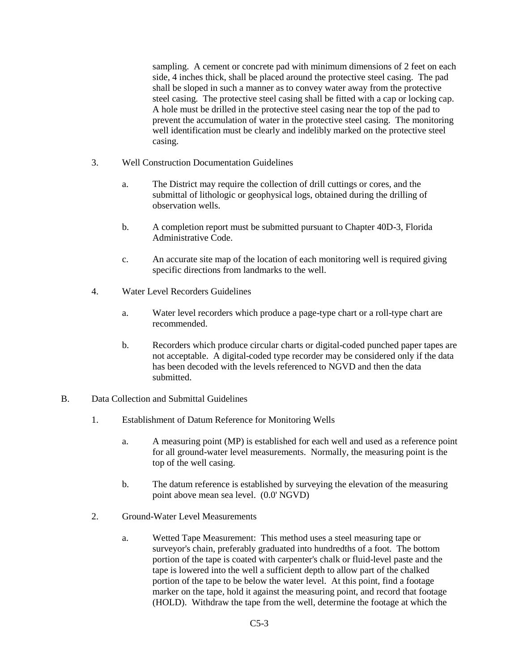sampling. A cement or concrete pad with minimum dimensions of 2 feet on each side, 4 inches thick, shall be placed around the protective steel casing. The pad shall be sloped in such a manner as to convey water away from the protective steel casing. The protective steel casing shall be fitted with a cap or locking cap. A hole must be drilled in the protective steel casing near the top of the pad to prevent the accumulation of water in the protective steel casing. The monitoring well identification must be clearly and indelibly marked on the protective steel casing.

- 3. Well Construction Documentation Guidelines
	- a. The District may require the collection of drill cuttings or cores, and the submittal of lithologic or geophysical logs, obtained during the drilling of observation wells.
	- b. A completion report must be submitted pursuant to Chapter 40D-3, Florida Administrative Code.
	- c. An accurate site map of the location of each monitoring well is required giving specific directions from landmarks to the well.
- 4. Water Level Recorders Guidelines
	- a. Water level recorders which produce a page-type chart or a roll-type chart are recommended.
	- b. Recorders which produce circular charts or digital-coded punched paper tapes are not acceptable. A digital-coded type recorder may be considered only if the data has been decoded with the levels referenced to NGVD and then the data submitted.
- B. Data Collection and Submittal Guidelines
	- 1. Establishment of Datum Reference for Monitoring Wells
		- a. A measuring point (MP) is established for each well and used as a reference point for all ground-water level measurements. Normally, the measuring point is the top of the well casing.
		- b. The datum reference is established by surveying the elevation of the measuring point above mean sea level. (0.0' NGVD)
	- 2. Ground-Water Level Measurements
		- a. Wetted Tape Measurement: This method uses a steel measuring tape or surveyor's chain, preferably graduated into hundredths of a foot. The bottom portion of the tape is coated with carpenter's chalk or fluid-level paste and the tape is lowered into the well a sufficient depth to allow part of the chalked portion of the tape to be below the water level. At this point, find a footage marker on the tape, hold it against the measuring point, and record that footage (HOLD). Withdraw the tape from the well, determine the footage at which the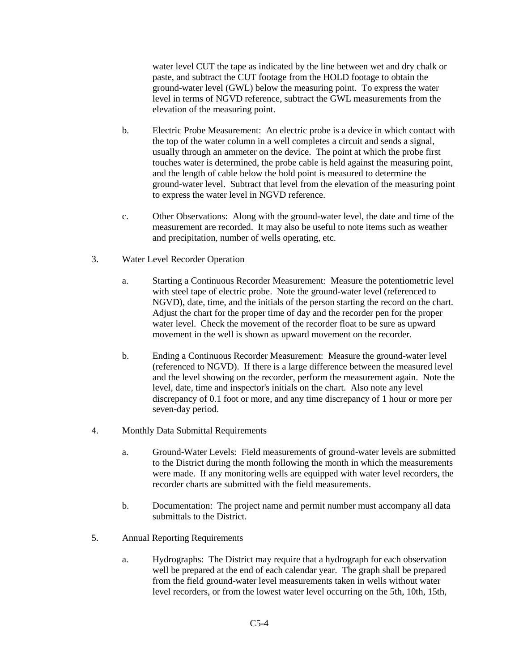water level CUT the tape as indicated by the line between wet and dry chalk or paste, and subtract the CUT footage from the HOLD footage to obtain the ground-water level (GWL) below the measuring point. To express the water level in terms of NGVD reference, subtract the GWL measurements from the elevation of the measuring point.

- b. Electric Probe Measurement: An electric probe is a device in which contact with the top of the water column in a well completes a circuit and sends a signal, usually through an ammeter on the device. The point at which the probe first touches water is determined, the probe cable is held against the measuring point, and the length of cable below the hold point is measured to determine the ground-water level. Subtract that level from the elevation of the measuring point to express the water level in NGVD reference.
- c. Other Observations: Along with the ground-water level, the date and time of the measurement are recorded. It may also be useful to note items such as weather and precipitation, number of wells operating, etc.
- 3. Water Level Recorder Operation
	- a. Starting a Continuous Recorder Measurement: Measure the potentiometric level with steel tape of electric probe. Note the ground-water level (referenced to NGVD), date, time, and the initials of the person starting the record on the chart. Adjust the chart for the proper time of day and the recorder pen for the proper water level. Check the movement of the recorder float to be sure as upward movement in the well is shown as upward movement on the recorder.
	- b. Ending a Continuous Recorder Measurement: Measure the ground-water level (referenced to NGVD). If there is a large difference between the measured level and the level showing on the recorder, perform the measurement again. Note the level, date, time and inspector's initials on the chart. Also note any level discrepancy of 0.1 foot or more, and any time discrepancy of 1 hour or more per seven-day period.
- 4. Monthly Data Submittal Requirements
	- a. Ground-Water Levels: Field measurements of ground-water levels are submitted to the District during the month following the month in which the measurements were made. If any monitoring wells are equipped with water level recorders, the recorder charts are submitted with the field measurements.
	- b. Documentation: The project name and permit number must accompany all data submittals to the District.
- 5. Annual Reporting Requirements
	- a. Hydrographs: The District may require that a hydrograph for each observation well be prepared at the end of each calendar year. The graph shall be prepared from the field ground-water level measurements taken in wells without water level recorders, or from the lowest water level occurring on the 5th, 10th, 15th,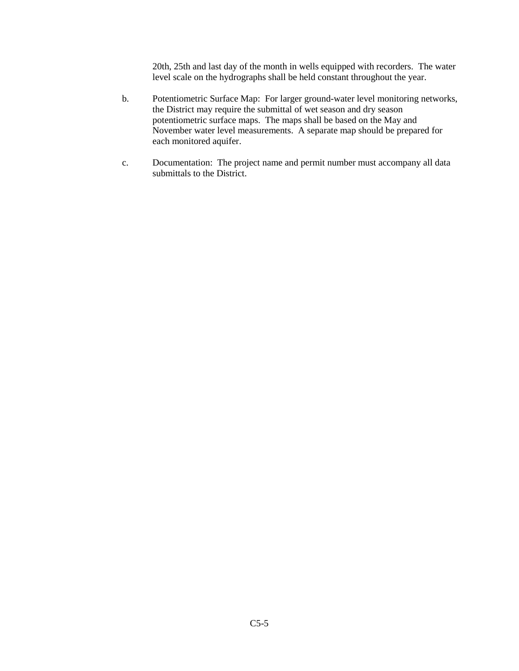20th, 25th and last day of the month in wells equipped with recorders. The water level scale on the hydrographs shall be held constant throughout the year.

- b. Potentiometric Surface Map: For larger ground-water level monitoring networks, the District may require the submittal of wet season and dry season potentiometric surface maps. The maps shall be based on the May and November water level measurements. A separate map should be prepared for each monitored aquifer.
- c. Documentation: The project name and permit number must accompany all data submittals to the District.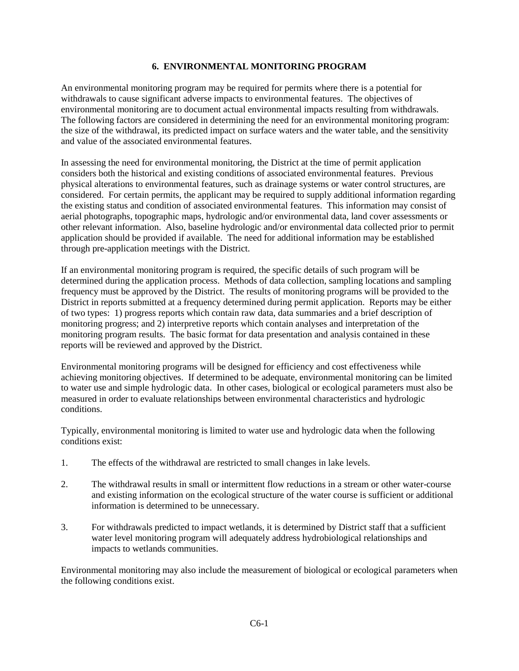#### **6. ENVIRONMENTAL MONITORING PROGRAM**

An environmental monitoring program may be required for permits where there is a potential for withdrawals to cause significant adverse impacts to environmental features. The objectives of environmental monitoring are to document actual environmental impacts resulting from withdrawals. The following factors are considered in determining the need for an environmental monitoring program: the size of the withdrawal, its predicted impact on surface waters and the water table, and the sensitivity and value of the associated environmental features.

In assessing the need for environmental monitoring, the District at the time of permit application considers both the historical and existing conditions of associated environmental features. Previous physical alterations to environmental features, such as drainage systems or water control structures, are considered. For certain permits, the applicant may be required to supply additional information regarding the existing status and condition of associated environmental features. This information may consist of aerial photographs, topographic maps, hydrologic and/or environmental data, land cover assessments or other relevant information. Also, baseline hydrologic and/or environmental data collected prior to permit application should be provided if available. The need for additional information may be established through pre-application meetings with the District.

If an environmental monitoring program is required, the specific details of such program will be determined during the application process. Methods of data collection, sampling locations and sampling frequency must be approved by the District. The results of monitoring programs will be provided to the District in reports submitted at a frequency determined during permit application. Reports may be either of two types: 1) progress reports which contain raw data, data summaries and a brief description of monitoring progress; and 2) interpretive reports which contain analyses and interpretation of the monitoring program results. The basic format for data presentation and analysis contained in these reports will be reviewed and approved by the District.

Environmental monitoring programs will be designed for efficiency and cost effectiveness while achieving monitoring objectives. If determined to be adequate, environmental monitoring can be limited to water use and simple hydrologic data. In other cases, biological or ecological parameters must also be measured in order to evaluate relationships between environmental characteristics and hydrologic conditions.

Typically, environmental monitoring is limited to water use and hydrologic data when the following conditions exist:

- 1. The effects of the withdrawal are restricted to small changes in lake levels.
- 2. The withdrawal results in small or intermittent flow reductions in a stream or other water-course and existing information on the ecological structure of the water course is sufficient or additional information is determined to be unnecessary.
- 3. For withdrawals predicted to impact wetlands, it is determined by District staff that a sufficient water level monitoring program will adequately address hydrobiological relationships and impacts to wetlands communities.

Environmental monitoring may also include the measurement of biological or ecological parameters when the following conditions exist.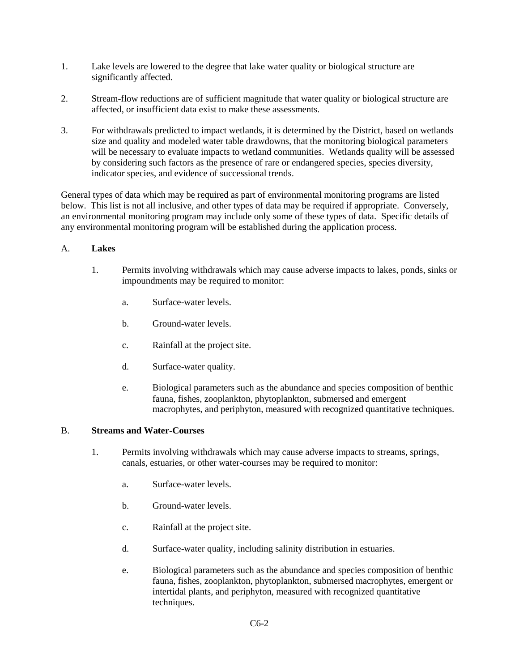- 1. Lake levels are lowered to the degree that lake water quality or biological structure are significantly affected.
- 2. Stream-flow reductions are of sufficient magnitude that water quality or biological structure are affected, or insufficient data exist to make these assessments.
- 3. For withdrawals predicted to impact wetlands, it is determined by the District, based on wetlands size and quality and modeled water table drawdowns, that the monitoring biological parameters will be necessary to evaluate impacts to wetland communities. Wetlands quality will be assessed by considering such factors as the presence of rare or endangered species, species diversity, indicator species, and evidence of successional trends.

General types of data which may be required as part of environmental monitoring programs are listed below. This list is not all inclusive, and other types of data may be required if appropriate. Conversely, an environmental monitoring program may include only some of these types of data. Specific details of any environmental monitoring program will be established during the application process.

# A. **Lakes**

- 1. Permits involving withdrawals which may cause adverse impacts to lakes, ponds, sinks or impoundments may be required to monitor:
	- a. Surface-water levels.
	- b. Ground-water levels.
	- c. Rainfall at the project site.
	- d. Surface-water quality.
	- e. Biological parameters such as the abundance and species composition of benthic fauna, fishes, zooplankton, phytoplankton, submersed and emergent macrophytes, and periphyton, measured with recognized quantitative techniques.

#### B. **Streams and Water-Courses**

- 1. Permits involving withdrawals which may cause adverse impacts to streams, springs, canals, estuaries, or other water-courses may be required to monitor:
	- a. Surface-water levels.
	- b. Ground-water levels.
	- c. Rainfall at the project site.
	- d. Surface-water quality, including salinity distribution in estuaries.
	- e. Biological parameters such as the abundance and species composition of benthic fauna, fishes, zooplankton, phytoplankton, submersed macrophytes, emergent or intertidal plants, and periphyton, measured with recognized quantitative techniques.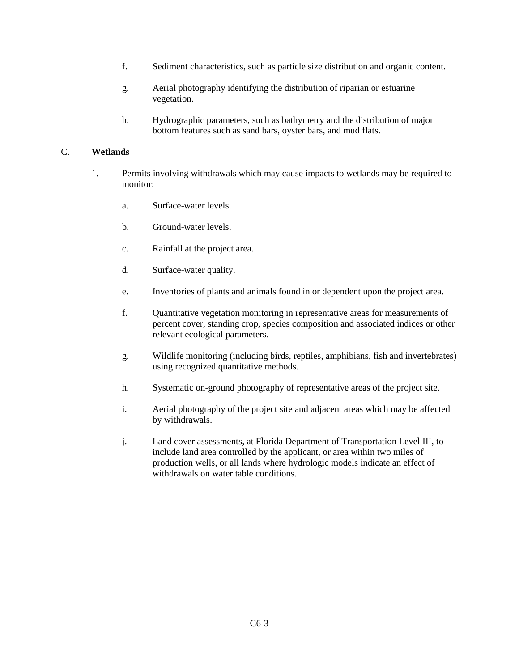- f. Sediment characteristics, such as particle size distribution and organic content.
- g. Aerial photography identifying the distribution of riparian or estuarine vegetation.
- h. Hydrographic parameters, such as bathymetry and the distribution of major bottom features such as sand bars, oyster bars, and mud flats.

# C. **Wetlands**

- 1. Permits involving withdrawals which may cause impacts to wetlands may be required to monitor:
	- a. Surface-water levels.
	- b. Ground-water levels.
	- c. Rainfall at the project area.
	- d. Surface-water quality.
	- e. Inventories of plants and animals found in or dependent upon the project area.
	- f. Quantitative vegetation monitoring in representative areas for measurements of percent cover, standing crop, species composition and associated indices or other relevant ecological parameters.
	- g. Wildlife monitoring (including birds, reptiles, amphibians, fish and invertebrates) using recognized quantitative methods.
	- h. Systematic on-ground photography of representative areas of the project site.
	- i. Aerial photography of the project site and adjacent areas which may be affected by withdrawals.
	- j. Land cover assessments, at Florida Department of Transportation Level III, to include land area controlled by the applicant, or area within two miles of production wells, or all lands where hydrologic models indicate an effect of withdrawals on water table conditions.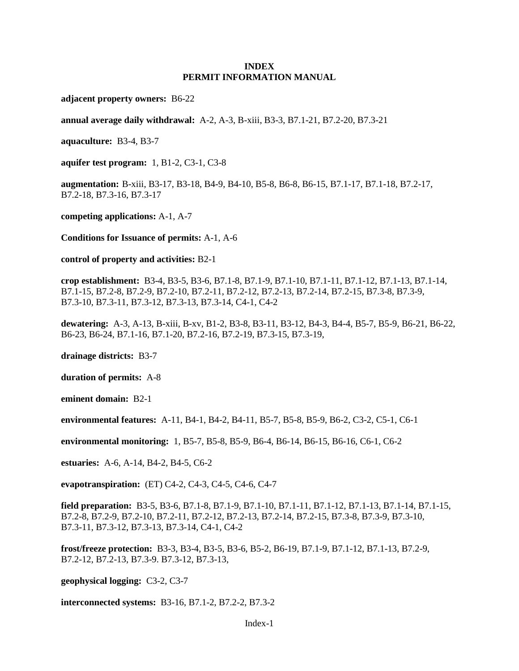#### **INDEX PERMIT INFORMATION MANUAL**

**adjacent property owners:** B6-22

**annual average daily withdrawal:** A-2, A-3, B-xiii, B3-3, B7.1-21, B7.2-20, B7.3-21

**aquaculture:** B3-4, B3-7

**aquifer test program:** 1, B1-2, C3-1, C3-8

**augmentation:** B-xiii, B3-17, B3-18, B4-9, B4-10, B5-8, B6-8, B6-15, B7.1-17, B7.1-18, B7.2-17, B7.2-18, B7.3-16, B7.3-17

**competing applications:** A-1, A-7

**Conditions for Issuance of permits:** A-1, A-6

**control of property and activities:** B2-1

**crop establishment:** B3-4, B3-5, B3-6, B7.1-8, B7.1-9, B7.1-10, B7.1-11, B7.1-12, B7.1-13, B7.1-14, B7.1-15, B7.2-8, B7.2-9, B7.2-10, B7.2-11, B7.2-12, B7.2-13, B7.2-14, B7.2-15, B7.3-8, B7.3-9, B7.3-10, B7.3-11, B7.3-12, B7.3-13, B7.3-14, C4-1, C4-2

**dewatering:** A-3, A-13, B-xiii, B-xv, B1-2, B3-8, B3-11, B3-12, B4-3, B4-4, B5-7, B5-9, B6-21, B6-22, B6-23, B6-24, B7.1-16, B7.1-20, B7.2-16, B7.2-19, B7.3-15, B7.3-19,

**drainage districts:** B3-7

**duration of permits:** A-8

**eminent domain:** B2-1

**environmental features:** A-11, B4-1, B4-2, B4-11, B5-7, B5-8, B5-9, B6-2, C3-2, C5-1, C6-1

**environmental monitoring:** 1, B5-7, B5-8, B5-9, B6-4, B6-14, B6-15, B6-16, C6-1, C6-2

**estuaries:** A-6, A-14, B4-2, B4-5, C6-2

**evapotranspiration:** (ET) C4-2, C4-3, C4-5, C4-6, C4-7

**field preparation:** B3-5, B3-6, B7.1-8, B7.1-9, B7.1-10, B7.1-11, B7.1-12, B7.1-13, B7.1-14, B7.1-15, B7.2-8, B7.2-9, B7.2-10, B7.2-11, B7.2-12, B7.2-13, B7.2-14, B7.2-15, B7.3-8, B7.3-9, B7.3-10, B7.3-11, B7.3-12, B7.3-13, B7.3-14, C4-1, C4-2

**frost/freeze protection:** B3-3, B3-4, B3-5, B3-6, B5-2, B6-19, B7.1-9, B7.1-12, B7.1-13, B7.2-9, B7.2-12, B7.2-13, B7.3-9. B7.3-12, B7.3-13,

**geophysical logging:** C3-2, C3-7

**interconnected systems:** B3-16, B7.1-2, B7.2-2, B7.3-2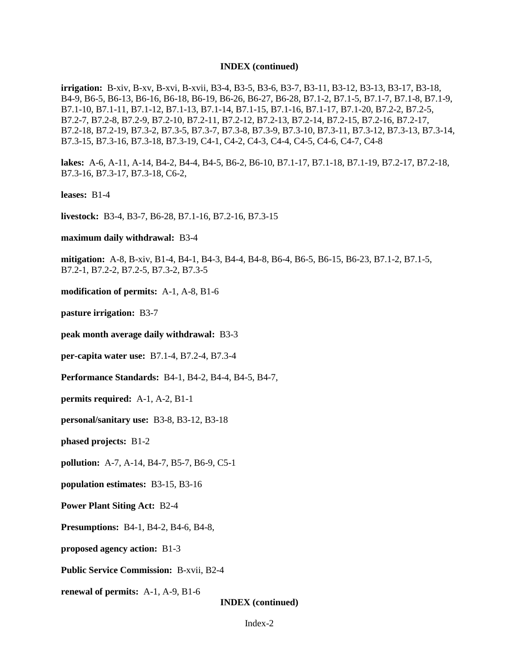#### **INDEX (continued)**

**irrigation:** B-xiv, B-xv, B-xvi, B-xvii, B3-4, B3-5, B3-6, B3-7, B3-11, B3-12, B3-13, B3-17, B3-18, B4-9, B6-5, B6-13, B6-16, B6-18, B6-19, B6-26, B6-27, B6-28, B7.1-2, B7.1-5, B7.1-7, B7.1-8, B7.1-9, B7.1-10, B7.1-11, B7.1-12, B7.1-13, B7.1-14, B7.1-15, B7.1-16, B7.1-17, B7.1-20, B7.2-2, B7.2-5, B7.2-7, B7.2-8, B7.2-9, B7.2-10, B7.2-11, B7.2-12, B7.2-13, B7.2-14, B7.2-15, B7.2-16, B7.2-17, B7.2-18, B7.2-19, B7.3-2, B7.3-5, B7.3-7, B7.3-8, B7.3-9, B7.3-10, B7.3-11, B7.3-12, B7.3-13, B7.3-14, B7.3-15, B7.3-16, B7.3-18, B7.3-19, C4-1, C4-2, C4-3, C4-4, C4-5, C4-6, C4-7, C4-8

**lakes:** A-6, A-11, A-14, B4-2, B4-4, B4-5, B6-2, B6-10, B7.1-17, B7.1-18, B7.1-19, B7.2-17, B7.2-18, B7.3-16, B7.3-17, B7.3-18, C6-2,

**leases:** B1-4

**livestock:** B3-4, B3-7, B6-28, B7.1-16, B7.2-16, B7.3-15

**maximum daily withdrawal:** B3-4

**mitigation:** A-8, B-xiv, B1-4, B4-1, B4-3, B4-4, B4-8, B6-4, B6-5, B6-15, B6-23, B7.1-2, B7.1-5, B7.2-1, B7.2-2, B7.2-5, B7.3-2, B7.3-5

**modification of permits:** A-1, A-8, B1-6

**pasture irrigation:** B3-7

**peak month average daily withdrawal:** B3-3

**per-capita water use:** B7.1-4, B7.2-4, B7.3-4

**Performance Standards:** B4-1, B4-2, B4-4, B4-5, B4-7,

**permits required:** A-1, A-2, B1-1

**personal/sanitary use:** B3-8, B3-12, B3-18

**phased projects:** B1-2

**pollution:** A-7, A-14, B4-7, B5-7, B6-9, C5-1

**population estimates:** B3-15, B3-16

**Power Plant Siting Act:** B2-4

**Presumptions:** B4-1, B4-2, B4-6, B4-8,

**proposed agency action:** B1-3

**Public Service Commission:** B-xvii, B2-4

**renewal of permits:** A-1, A-9, B1-6

**INDEX (continued)**

Index-2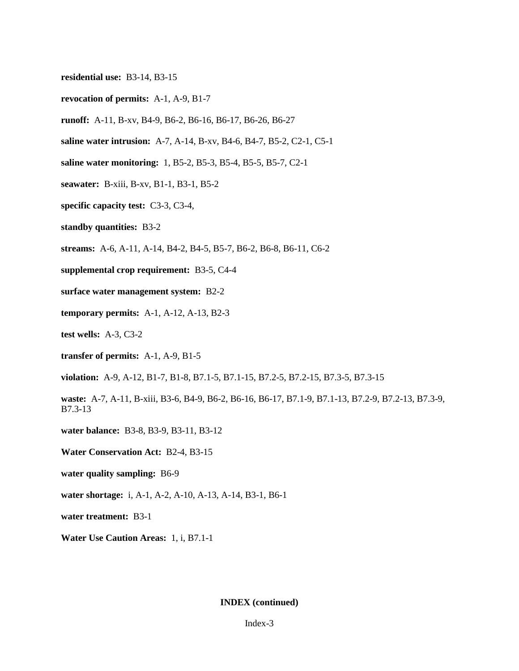- **residential use:** B3-14, B3-15
- **revocation of permits:** A-1, A-9, B1-7
- **runoff:** A-11, B-xv, B4-9, B6-2, B6-16, B6-17, B6-26, B6-27
- **saline water intrusion:** A-7, A-14, B-xv, B4-6, B4-7, B5-2, C2-1, C5-1
- **saline water monitoring:** 1, B5-2, B5-3, B5-4, B5-5, B5-7, C2-1
- **seawater:** B-xiii, B-xv, B1-1, B3-1, B5-2
- **specific capacity test:** C3-3, C3-4,
- **standby quantities:** B3-2
- **streams:** A-6, A-11, A-14, B4-2, B4-5, B5-7, B6-2, B6-8, B6-11, C6-2
- **supplemental crop requirement:** B3-5, C4-4
- **surface water management system:** B2-2
- **temporary permits:** A-1, A-12, A-13, B2-3
- **test wells:** A-3, C3-2
- **transfer of permits:** A-1, A-9, B1-5

**violation:** A-9, A-12, B1-7, B1-8, B7.1-5, B7.1-15, B7.2-5, B7.2-15, B7.3-5, B7.3-15

**waste:** A-7, A-11, B-xiii, B3-6, B4-9, B6-2, B6-16, B6-17, B7.1-9, B7.1-13, B7.2-9, B7.2-13, B7.3-9, B7.3-13

**water balance:** B3-8, B3-9, B3-11, B3-12

- **Water Conservation Act:** B2-4, B3-15
- **water quality sampling:** B6-9
- **water shortage:** i, A-1, A-2, A-10, A-13, A-14, B3-1, B6-1

**water treatment:** B3-1

**Water Use Caution Areas:** 1, i, B7.1-1

#### **INDEX (continued)**

#### Index-3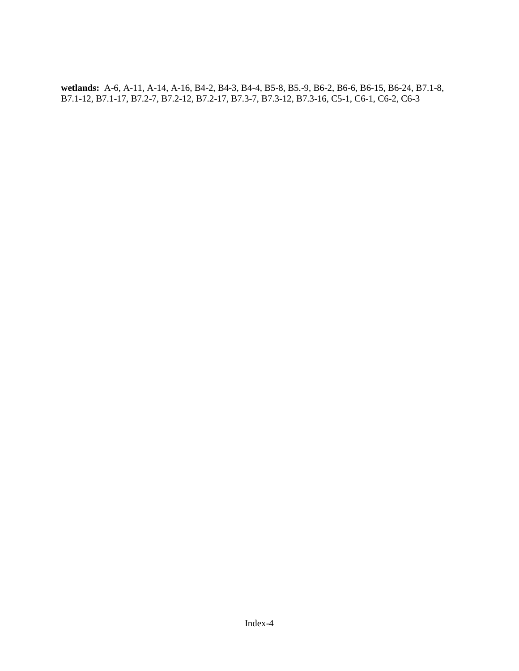**wetlands:** A-6, A-11, A-14, A-16, B4-2, B4-3, B4-4, B5-8, B5.-9, B6-2, B6-6, B6-15, B6-24, B7.1-8, B7.1-12, B7.1-17, B7.2-7, B7.2-12, B7.2-17, B7.3-7, B7.3-12, B7.3-16, C5-1, C6-1, C6-2, C6-3